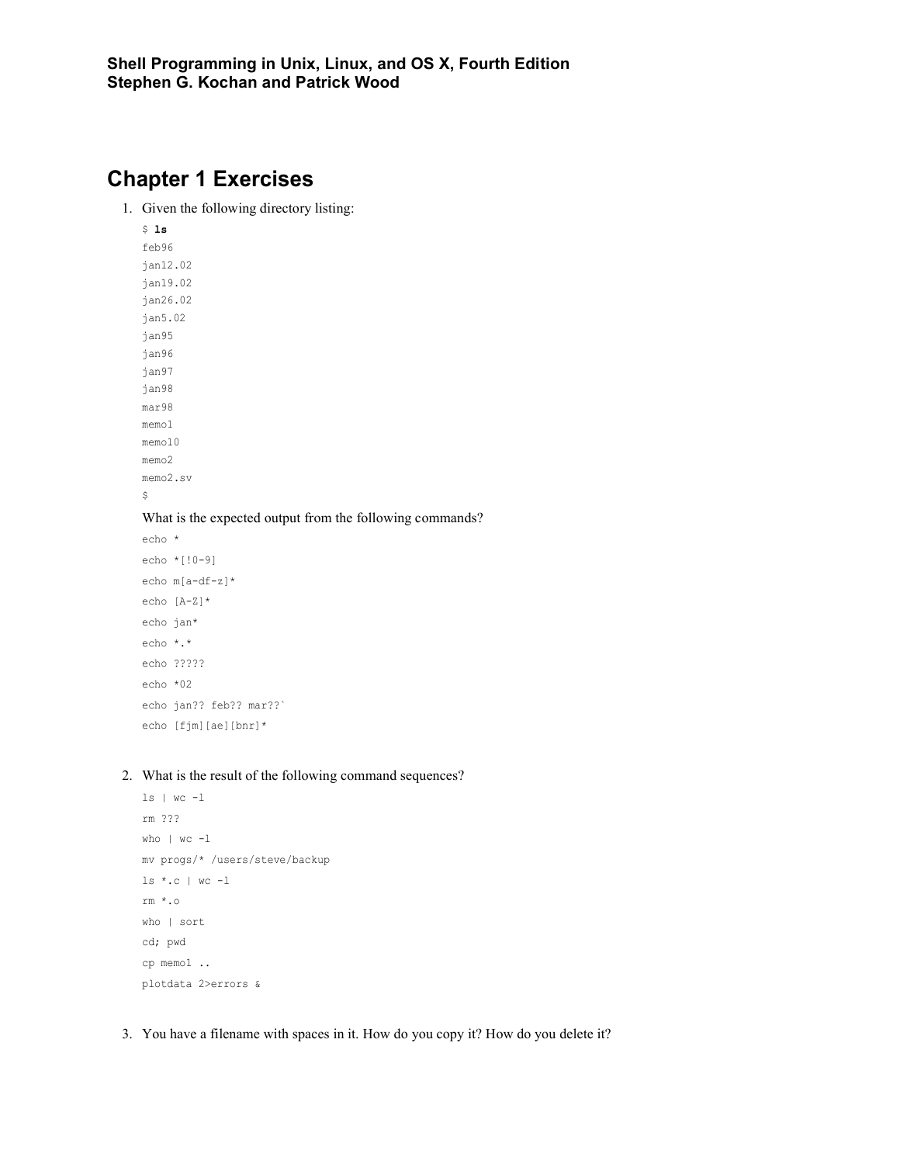# **Chapter 1 Exercises**

1. Given the following directory listing:

\$ **ls** feb96 jan12.02 jan19.02 jan26.02 jan5.02 jan95 jan96 jan97 jan98 mar98 memo1 memo10 memo2 memo2.sv

 $\hat{\mathcal{L}}$ 

#### What is the expected output from the following commands?

```
echo *
echo *[!0-9]
echo m[a-df-z]*
echo [A-Z]*
echo jan*
echo *.*
echo ?????
echo *02
echo jan?? feb?? mar??`
echo [fjm][ae][bnr]*
```
#### 2. What is the result of the following command sequences?

```
ls | wc -l
rm ???
who | wc -l
mv progs/* /users/steve/backup
ls *.c | wc -l
rm *.o
who | sort
cd; pwd
cp memo1 ..
plotdata 2>errors &
```
3. You have a filename with spaces in it. How do you copy it? How do you delete it?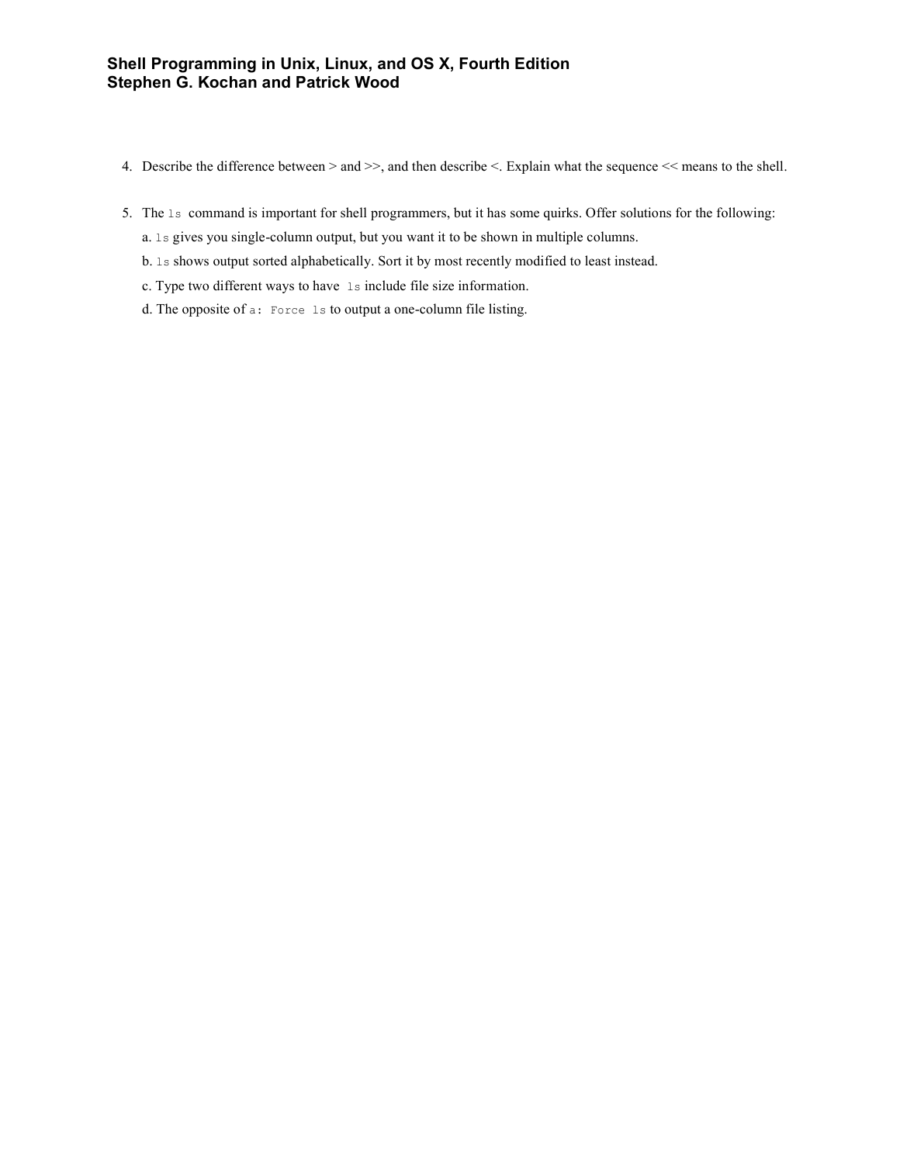- 4. Describe the difference between > and >>, and then describe <. Explain what the sequence << means to the shell.
- 5. The ls command is important for shell programmers, but it has some quirks. Offer solutions for the following:
	- a. ls gives you single-column output, but you want it to be shown in multiple columns.
	- b. ls shows output sorted alphabetically. Sort it by most recently modified to least instead.
	- c. Type two different ways to have ls include file size information.
	- d. The opposite of a: Force ls to output a one-column file listing.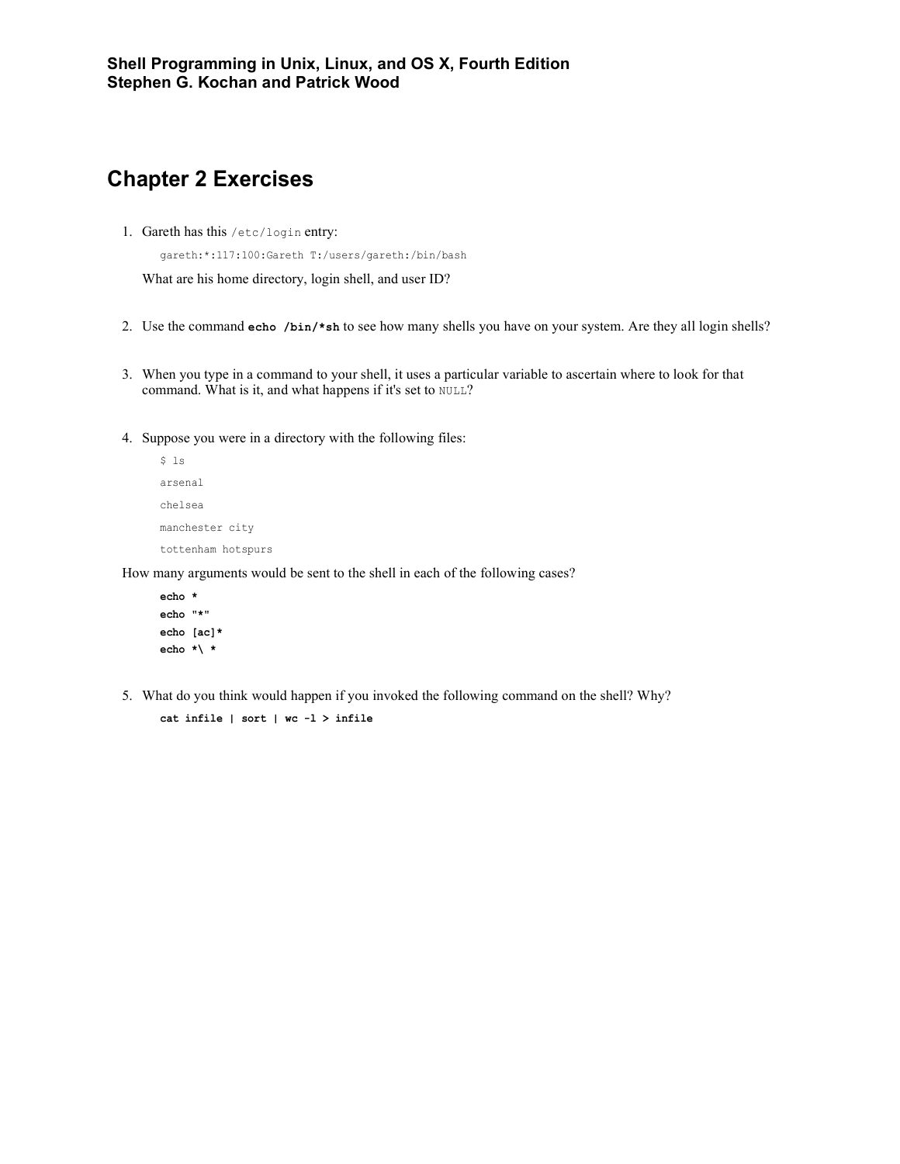# **Chapter 2 Exercises**

1. Gareth has this /etc/login entry:

gareth:\*:117:100:Gareth T:/users/gareth:/bin/bash

What are his home directory, login shell, and user ID?

- 2. Use the command **echo /bin/\*sh** to see how many shells you have on your system. Are they all login shells?
- 3. When you type in a command to your shell, it uses a particular variable to ascertain where to look for that command. What is it, and what happens if it's set to NULL?
- 4. Suppose you were in a directory with the following files:

```
$ 1sarsenal
chelsea
manchester city
tottenham hotspurs
```
How many arguments would be sent to the shell in each of the following cases?

```
echo *
echo "*"
echo [ac]*
echo *\ *
```
5. What do you think would happen if you invoked the following command on the shell? Why? **cat infile | sort | wc -l > infile**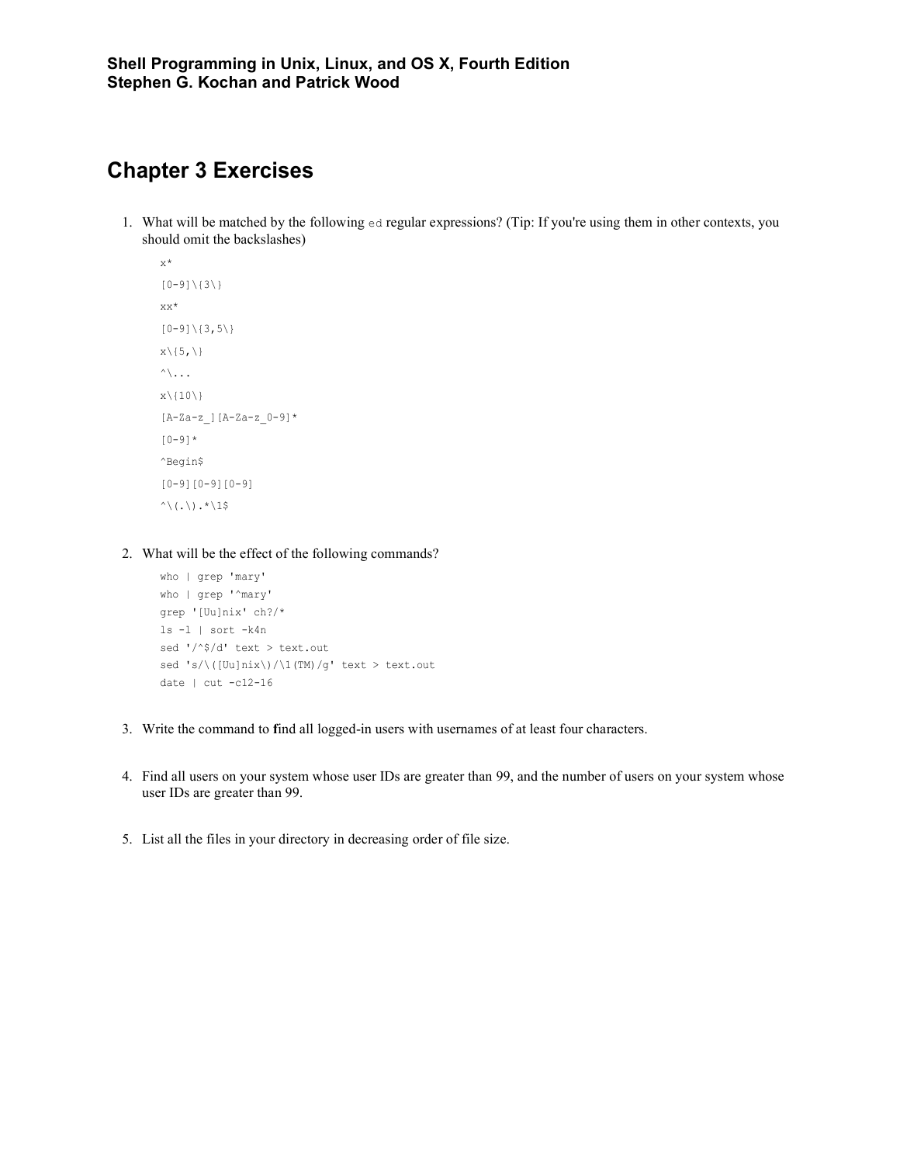## **Chapter 3 Exercises**

1. What will be matched by the following ed regular expressions? (Tip: If you're using them in other contexts, you should omit the backslashes)

```
x^{\star}[0-9]\setminus\{3\}\\mathtt{x}\mathtt{x}^{\star}[0-9]\ (3,5\)x\backslash\{5, \backslash\}\wedge...
x\backslash\{10\}\}[A-Za-z_][A-Za-z_0-9]*
[0-9]*
^Begin$
[0-9][0-9][0-9]
\wedge(.\).*\1$
```
2. What will be the effect of the following commands?

```
who | grep 'mary'
who | grep '^mary'
grep '[Uu]nix' ch?/*
ls -l | sort -k4n
sed '/^$/d' text > text.out
sed 's/\( [Uu]nix\rangle)/\1(TM)/g' text > text.out
date | cut -c12-16
```
- 3. Write the command to **f**ind all logged-in users with usernames of at least four characters.
- 4. Find all users on your system whose user IDs are greater than 99, and the number of users on your system whose user IDs are greater than 99.
- 5. List all the files in your directory in decreasing order of file size.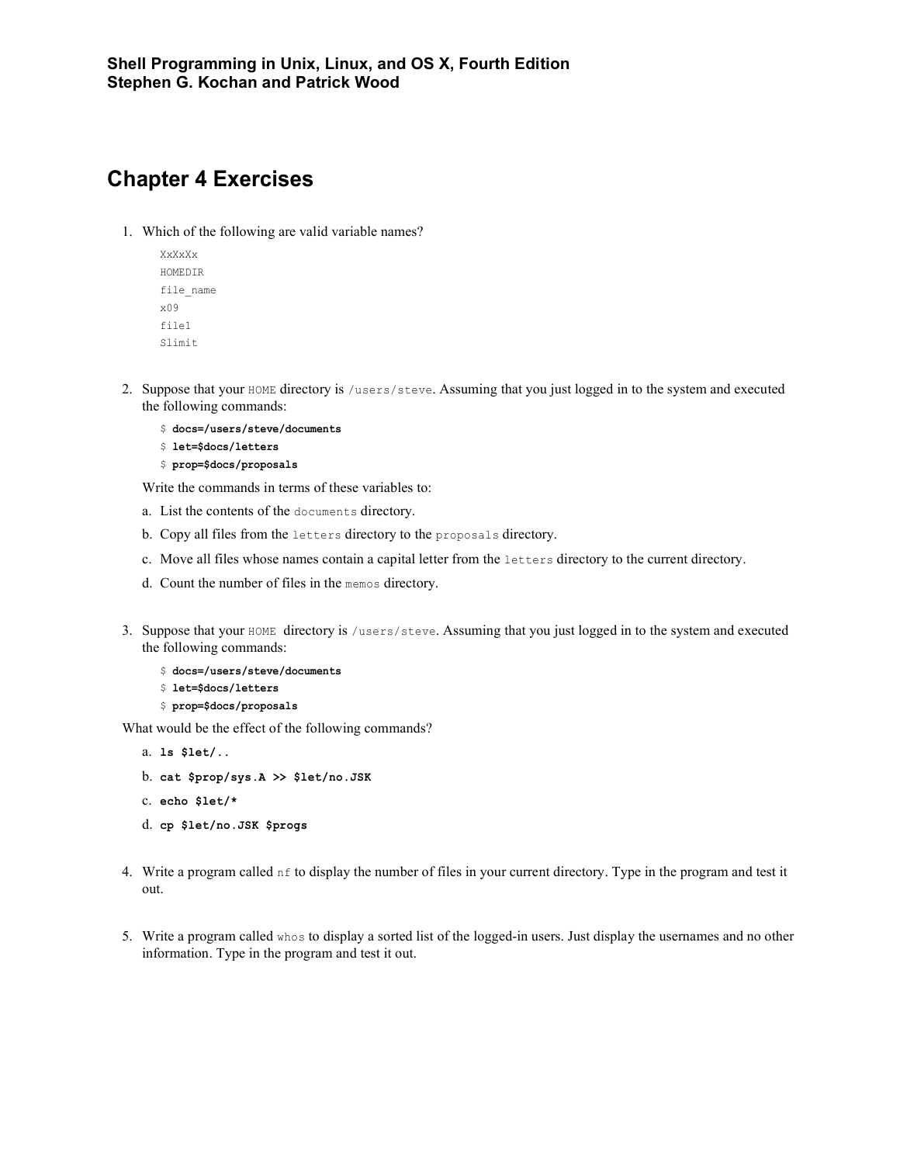# **Chapter 4 Exercises**

1. Which of the following are valid variable names?

```
XxXxXx
HOMEDIR
file_name
x09
file1
Slimit
```
- 2. Suppose that your HOME directory is /users/steve. Assuming that you just logged in to the system and executed the following commands:
	- \$ **docs=/users/steve/documents**
	- \$ **let=\$docs/letters**
	- \$ **prop=\$docs/proposals**

Write the commands in terms of these variables to:

- a. List the contents of the documents directory.
- b. Copy all files from the letters directory to the proposals directory.
- c. Move all files whose names contain a capital letter from the letters directory to the current directory.
- d. Count the number of files in the memos directory.
- 3. Suppose that your HOME directory is /users/steve. Assuming that you just logged in to the system and executed the following commands:
	- \$ **docs=/users/steve/documents**
	- \$ **let=\$docs/letters**
	- \$ **prop=\$docs/proposals**

What would be the effect of the following commands?

```
a. ls $let/..
```
- b. **cat \$prop/sys.A >> \$let/no.JSK**
- c. **echo \$let/\***

```
d. cp $let/no.JSK $progs
```
- 4. Write a program called  $n \in \mathfrak{t}$  odisplay the number of files in your current directory. Type in the program and test it out.
- 5. Write a program called whos to display a sorted list of the logged-in users. Just display the usernames and no other information. Type in the program and test it out.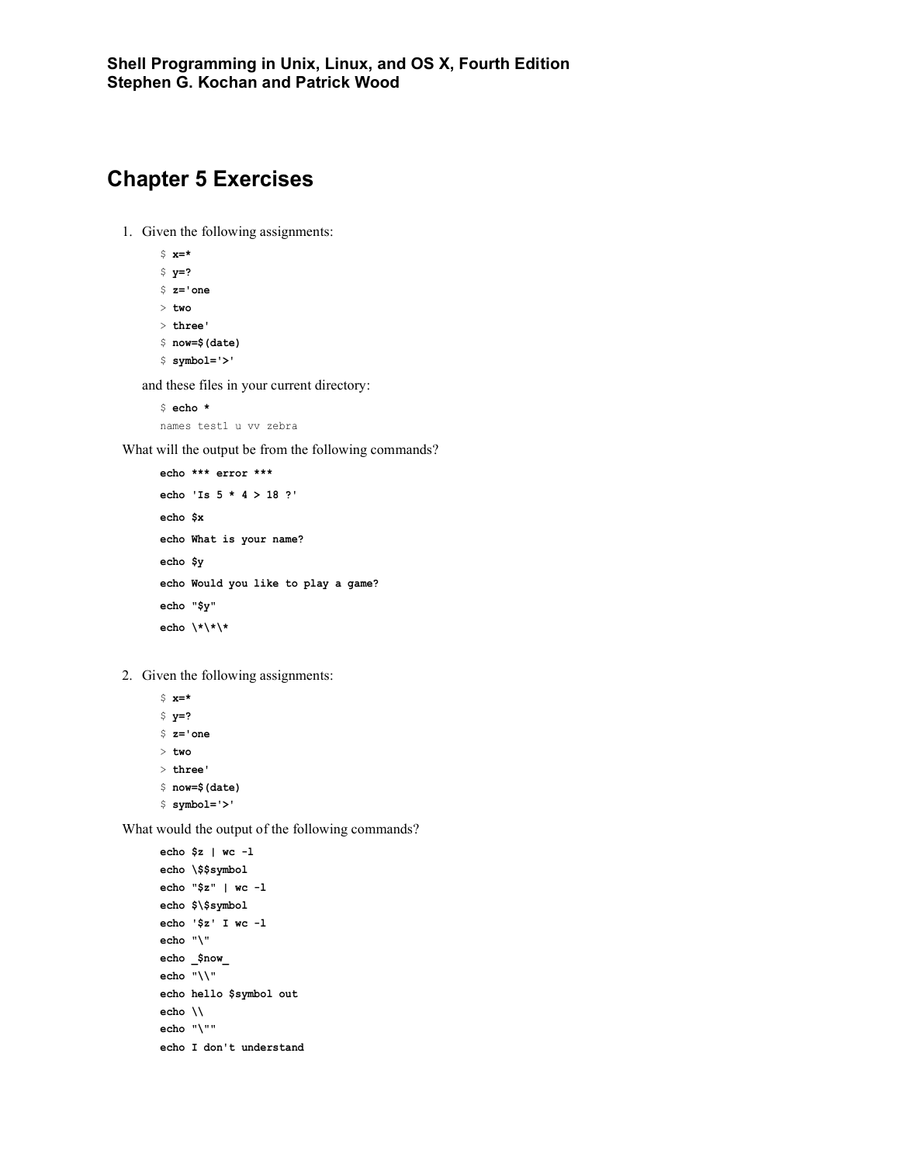# **Chapter 5 Exercises**

- 1. Given the following assignments:
	- \$ **x=\*** \$ **y=?** \$ **z='one** > **two** > **three'** \$ **now=\$(date)**
	- \$ **symbol='>'**

and these files in your current directory:

```
$ echo *
names test1 u vv zebra
```
What will the output be from the following commands?

```
echo *** error *** 
echo 'Is 5 * 4 > 18 ?'
echo $x
echo What is your name?
echo $y
echo Would you like to play a game?
echo "$y"
echo \*\*\*
```
2. Given the following assignments:

\$ **x=\*** \$ **y=?** \$ **z='one** > **two** > **three'** \$ **now=\$(date)** \$ **symbol='>'**

What would the output of the following commands?

```
echo $z | wc -l
echo \$$symbol
echo "$z" | wc -l
echo $\$symbol
echo '$z' I wc -l
echo "\"
echo _$now_
echo "\\"
echo hello $symbol out
echo \\
echo "\""
echo I don't understand
```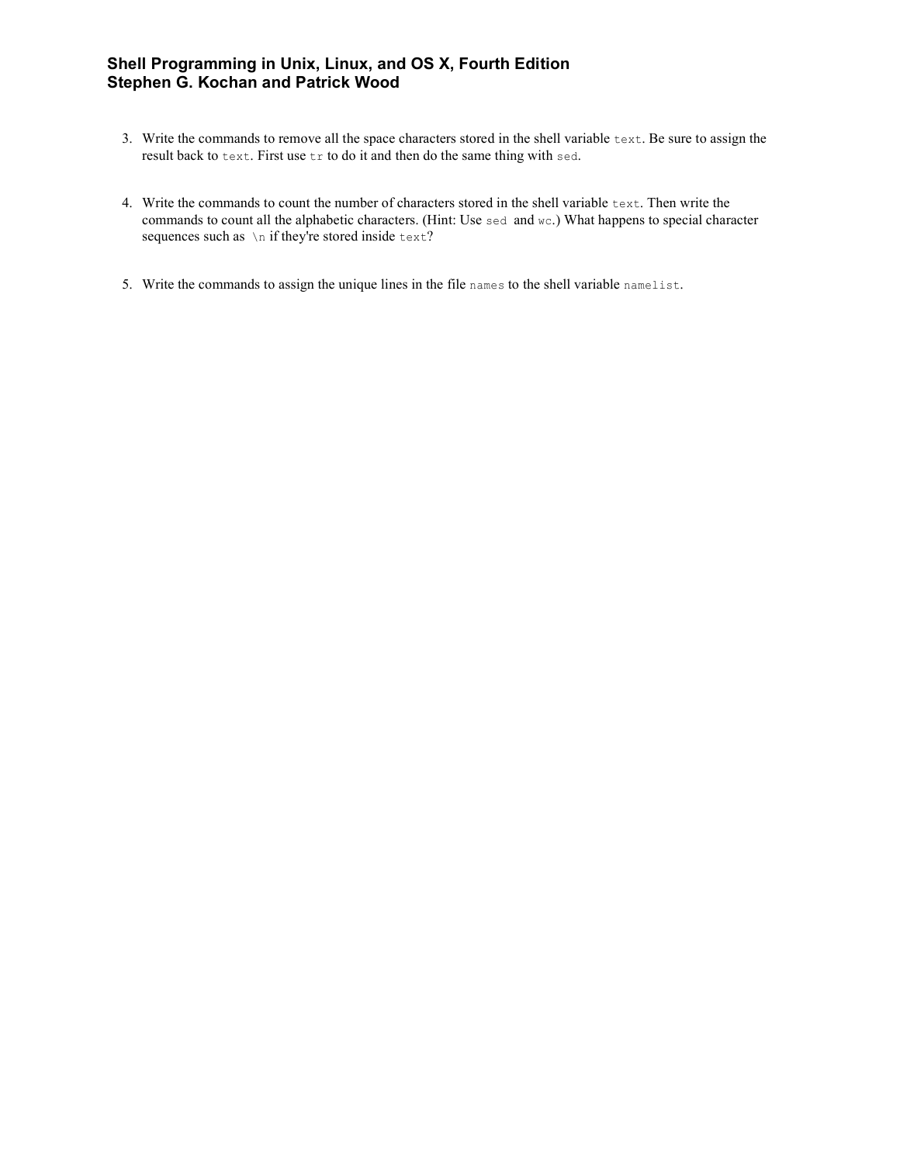- 3. Write the commands to remove all the space characters stored in the shell variable text. Be sure to assign the result back to text. First use tr to do it and then do the same thing with sed.
- 4. Write the commands to count the number of characters stored in the shell variable text. Then write the commands to count all the alphabetic characters. (Hint: Use sed and wc.) What happens to special character sequences such as  $\ln$  if they're stored inside text?
- 5. Write the commands to assign the unique lines in the file names to the shell variable namelist.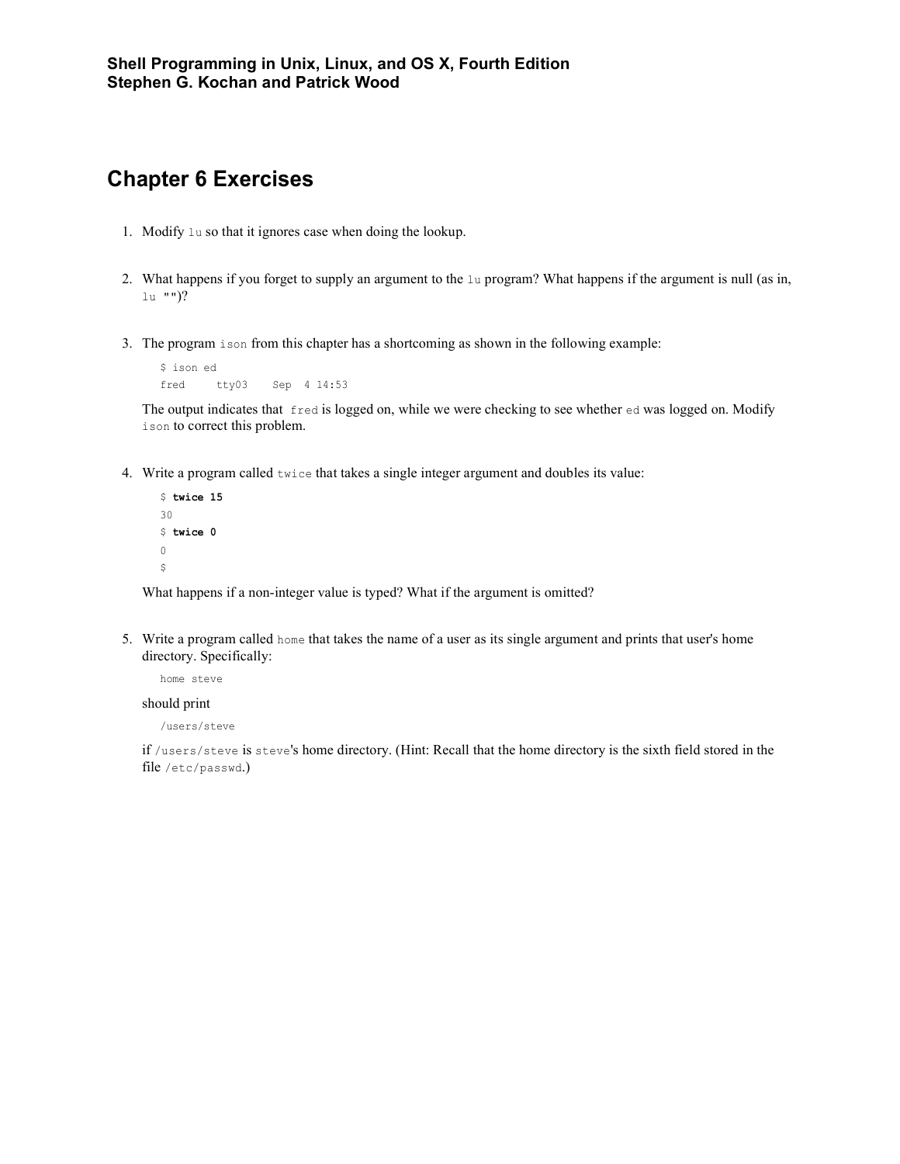#### **Chapter 6 Exercises**

- 1. Modify lu so that it ignores case when doing the lookup.
- 2. What happens if you forget to supply an argument to the lu program? What happens if the argument is null (as in, lu "")?
- 3. The program ison from this chapter has a shortcoming as shown in the following example:

```
$ ison ed
fred tty03 Sep 4 14:53
```
The output indicates that fred is logged on, while we were checking to see whether ed was logged on. Modify ison to correct this problem.

4. Write a program called twice that takes a single integer argument and doubles its value:

```
$ twice 15
30
$ twice 0
\mathbb O\boldsymbol{\mathsf{S}}
```
What happens if a non-integer value is typed? What if the argument is omitted?

5. Write a program called home that takes the name of a user as its single argument and prints that user's home directory. Specifically:

```
home steve
```
#### should print

/users/steve

if /users/steve is steve's home directory. (Hint: Recall that the home directory is the sixth field stored in the file /etc/passwd.)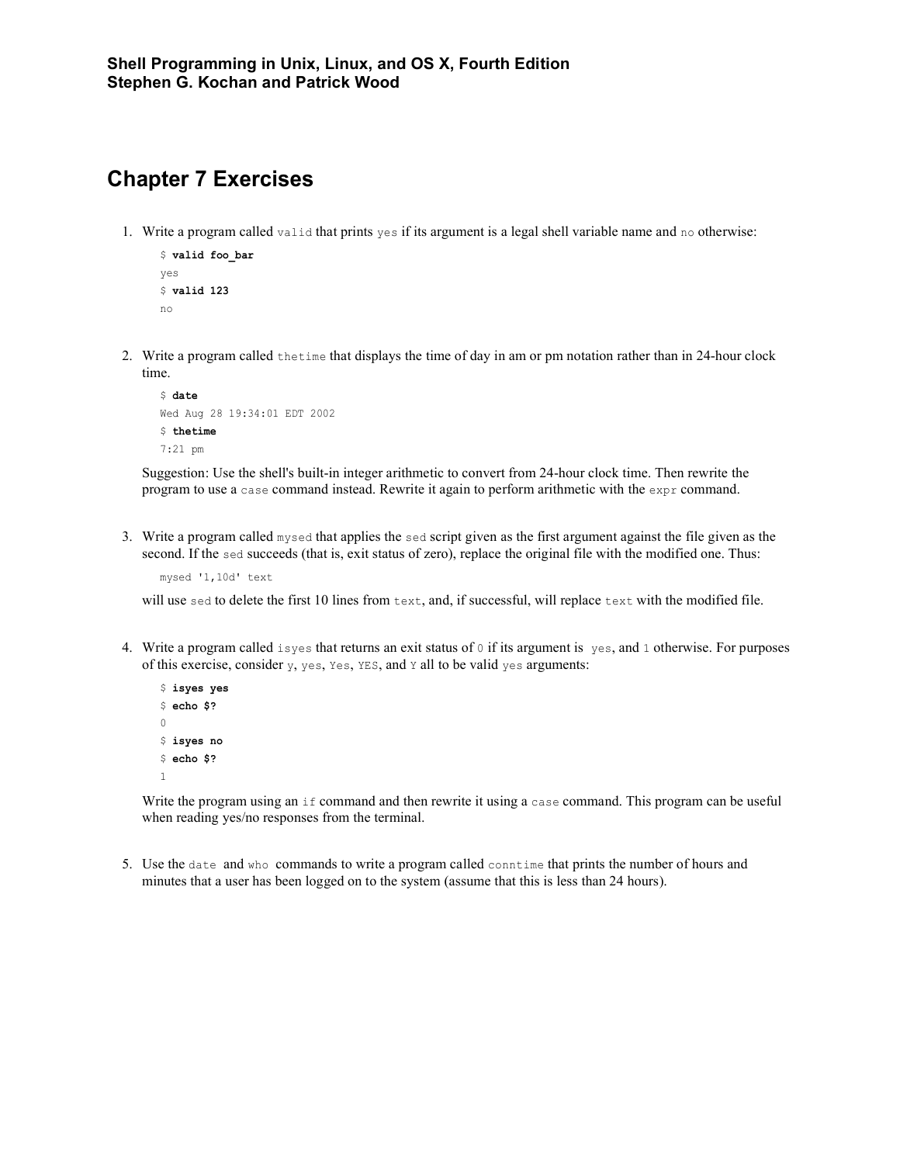## **Chapter 7 Exercises**

1. Write a program called valid that prints yes if its argument is a legal shell variable name and no otherwise:

```
$ valid foo_bar
yes
$ valid 123
no
```
2. Write a program called thetime that displays the time of day in am or pm notation rather than in 24-hour clock time.

```
$ date
Wed Aug 28 19:34:01 EDT 2002
$ thetime
7:21 pm
```
Suggestion: Use the shell's built-in integer arithmetic to convert from 24-hour clock time. Then rewrite the program to use a case command instead. Rewrite it again to perform arithmetic with the expr command.

3. Write a program called mysed that applies the sed script given as the first argument against the file given as the second. If the sed succeeds (that is, exit status of zero), replace the original file with the modified one. Thus:

mysed '1,10d' text

will use sed to delete the first 10 lines from text, and, if successful, will replace text with the modified file.

4. Write a program called isyes that returns an exit status of  $\circ$  if its argument is yes, and 1 otherwise. For purposes of this exercise, consider  $y$ , yes, Yes, YES, and Y all to be valid yes arguments:

```
$ isyes yes
$ echo $?
\Omega$ isyes no
$ echo $?
1
```
Write the program using an if command and then rewrite it using a case command. This program can be useful when reading yes/no responses from the terminal.

5. Use the date and who commands to write a program called conntime that prints the number of hours and minutes that a user has been logged on to the system (assume that this is less than 24 hours).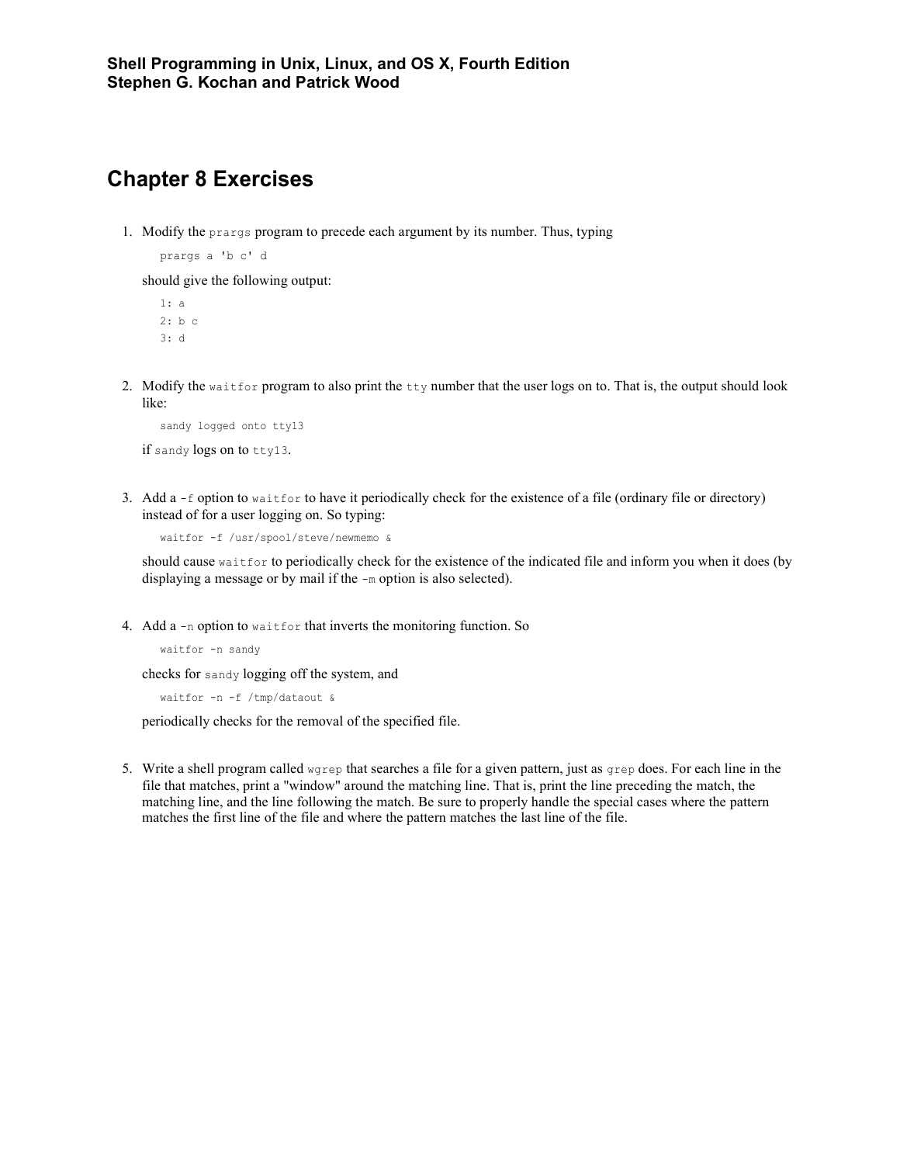#### **Chapter 8 Exercises**

1. Modify the prargs program to precede each argument by its number. Thus, typing

prargs a 'b c' d

should give the following output:

1: a 2: b c 3: d

2. Modify the waitfor program to also print the tty number that the user logs on to. That is, the output should look like:

```
sandy logged onto tty13
if sandy logs on to tty13.
```
3. Add a -f option to waitfor to have it periodically check for the existence of a file (ordinary file or directory) instead of for a user logging on. So typing:

```
waitfor -f /usr/spool/steve/newmemo &
```
should cause waitfor to periodically check for the existence of the indicated file and inform you when it does (by displaying a message or by mail if the -m option is also selected).

4. Add a -n option to waitfor that inverts the monitoring function. So

```
waitfor -n sandy
```
checks for sandy logging off the system, and

waitfor -n -f /tmp/dataout &

periodically checks for the removal of the specified file.

5. Write a shell program called wgrep that searches a file for a given pattern, just as grep does. For each line in the file that matches, print a "window" around the matching line. That is, print the line preceding the match, the matching line, and the line following the match. Be sure to properly handle the special cases where the pattern matches the first line of the file and where the pattern matches the last line of the file.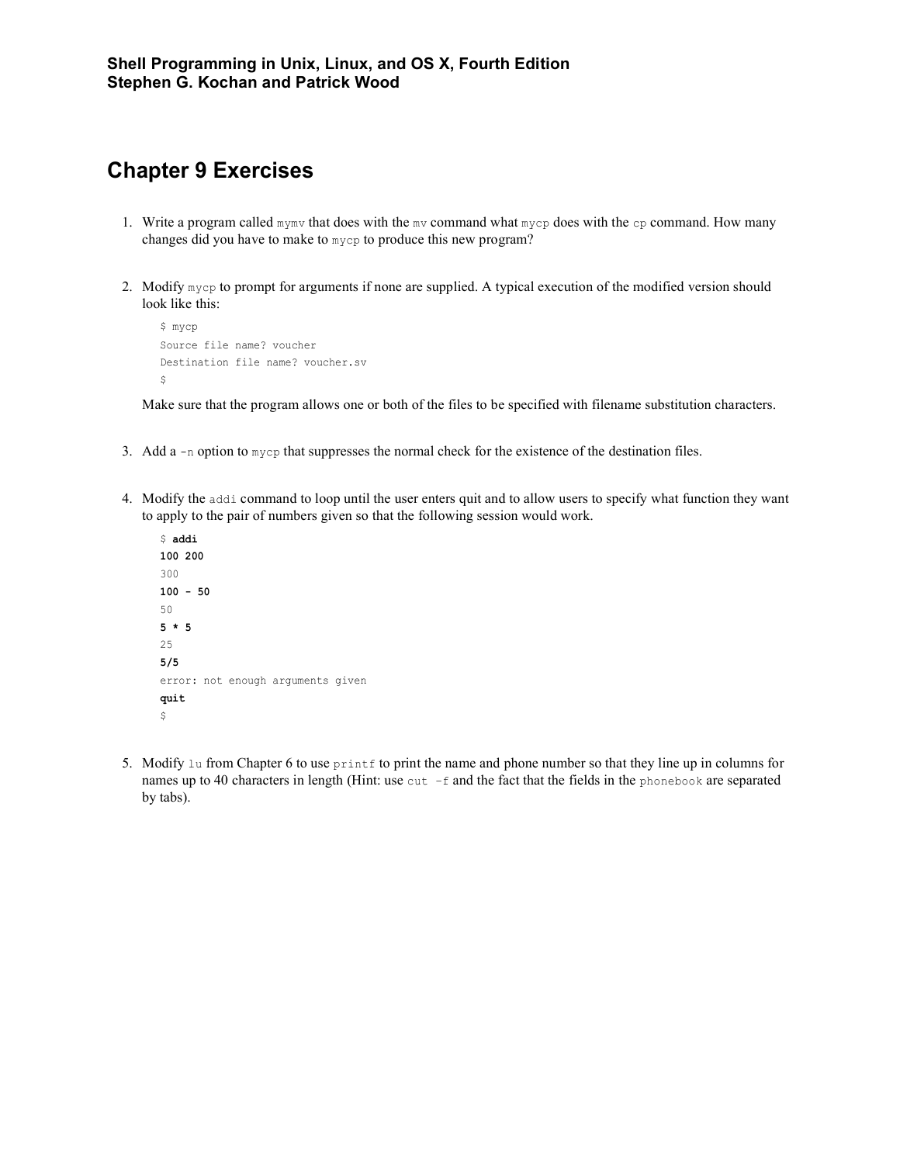## **Chapter 9 Exercises**

- 1. Write a program called mymv that does with the mv command what mycp does with the cp command. How many changes did you have to make to mycp to produce this new program?
- 2. Modify mycp to prompt for arguments if none are supplied. A typical execution of the modified version should look like this:

```
$ mycp
Source file name? voucher
Destination file name? voucher.sv
\hat{\varsigma}
```
Make sure that the program allows one or both of the files to be specified with filename substitution characters.

- 3. Add a  $-$ n option to  $m$ ycp that suppresses the normal check for the existence of the destination files.
- 4. Modify the addi command to loop until the user enters quit and to allow users to specify what function they want to apply to the pair of numbers given so that the following session would work.
	- \$ **addi 100 200** 300 **100 - 50** 50 **5 \* 5** 25 **5/5** error: not enough arguments given **quit**  $\hat{\mathcal{L}}$
- 5. Modify 1u from Chapter 6 to use  $\text{print}$  to print the name and phone number so that they line up in columns for names up to 40 characters in length (Hint: use cut  $-f$  and the fact that the fields in the phonebook are separated by tabs).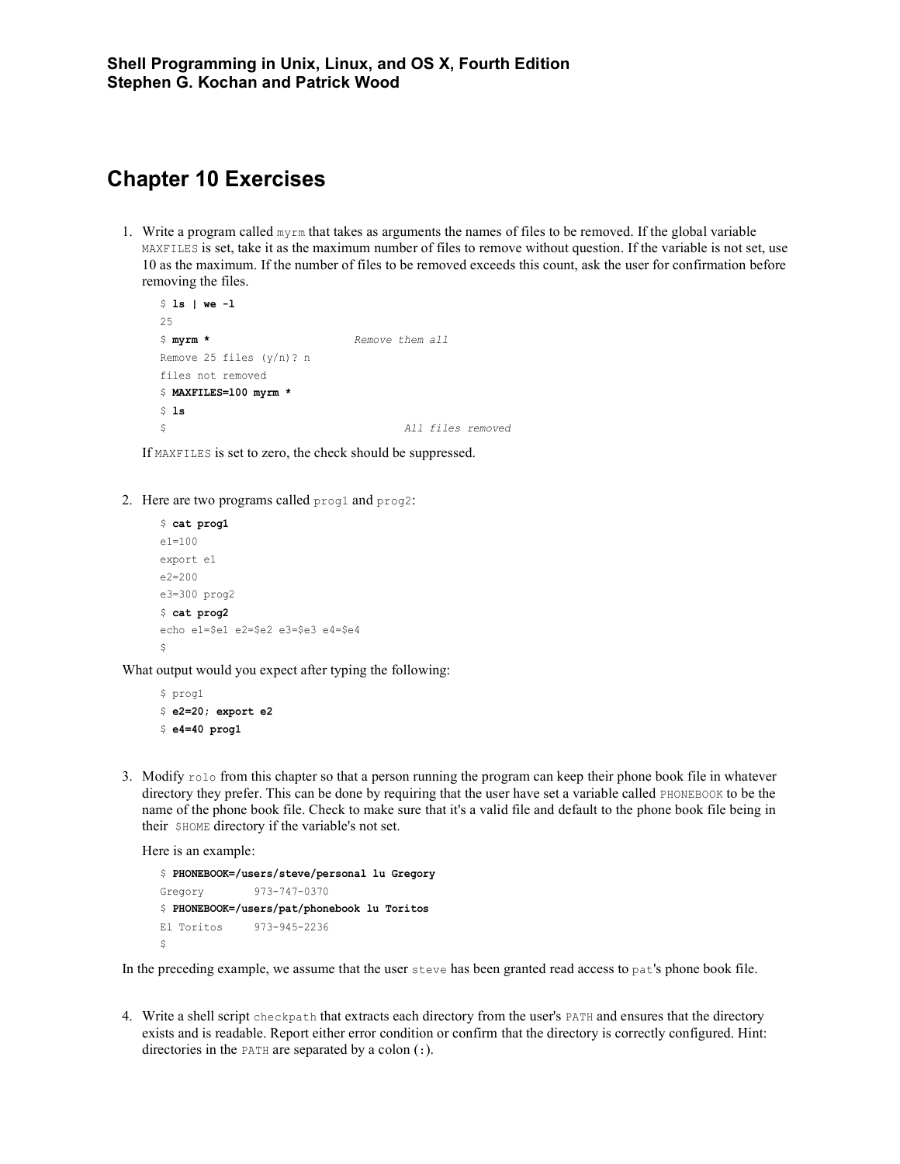## **Chapter 10 Exercises**

1. Write a program called myrm that takes as arguments the names of files to be removed. If the global variable MAXFILES is set, take it as the maximum number of files to remove without question. If the variable is not set, use 10 as the maximum. If the number of files to be removed exceeds this count, ask the user for confirmation before removing the files.

```
$ ls | we -l
25$ myrm * Remove them all
Remove 25 files (y/n)? n
files not removed
$ MAXFILES=l00 myrm *
$ ls
$ All files removed
```
If MAXFILES is set to zero, the check should be suppressed.

2. Here are two programs called prog1 and prog2:

```
$ cat prog1
e1=100
export e1
e2=200
e3=300 prog2
$ cat prog2
echo e1=$e1 e2=$e2 e3=$e3 e4=$e4
$
```
What output would you expect after typing the following:

```
$ prog1
$ e2=20; export e2
$ e4=40 prog1
```
3. Modify rolo from this chapter so that a person running the program can keep their phone book file in whatever directory they prefer. This can be done by requiring that the user have set a variable called PHONEBOOK to be the name of the phone book file. Check to make sure that it's a valid file and default to the phone book file being in their \$HOME directory if the variable's not set.

Here is an example:

```
$ PHONEBOOK=/users/steve/personal lu Gregory
Gregory 973-747-0370
$ PHONEBOOK=/users/pat/phonebook lu Toritos
El Toritos 973-945-2236
\ddot{\rm}
```
In the preceding example, we assume that the user steve has been granted read access to pat's phone book file.

4. Write a shell script checkpath that extracts each directory from the user's PATH and ensures that the directory exists and is readable. Report either error condition or confirm that the directory is correctly configured. Hint: directories in the PATH are separated by a colon (:).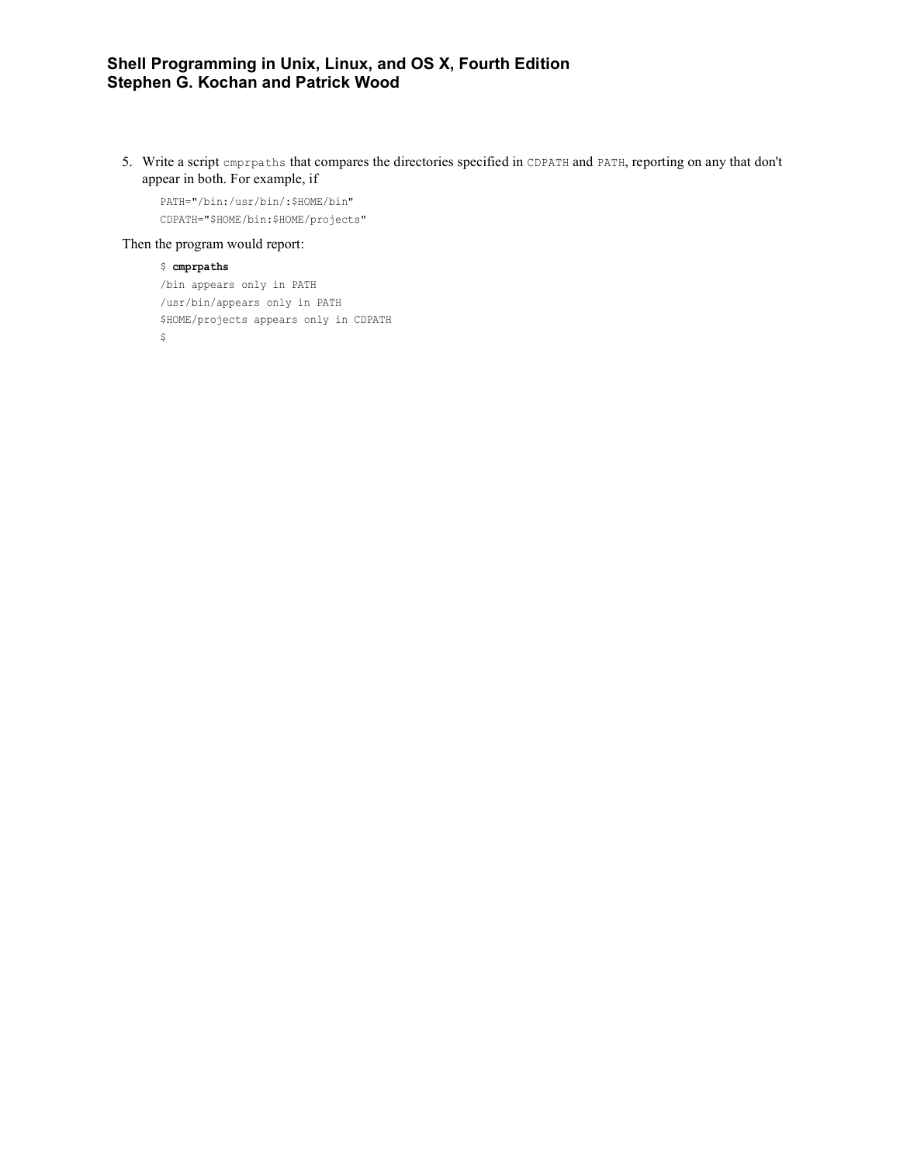5. Write a script cmprpaths that compares the directories specified in CDPATH and PATH, reporting on any that don't appear in both. For example, if

PATH="/bin:/usr/bin/:\$HOME/bin" CDPATH="\$HOME/bin:\$HOME/projects"

#### Then the program would report:

```
$ cmprpaths
```

```
/bin appears only in PATH
/usr/bin/appears only in PATH
$HOME/projects appears only in CDPATH
\mathop{\rm S}\nolimits
```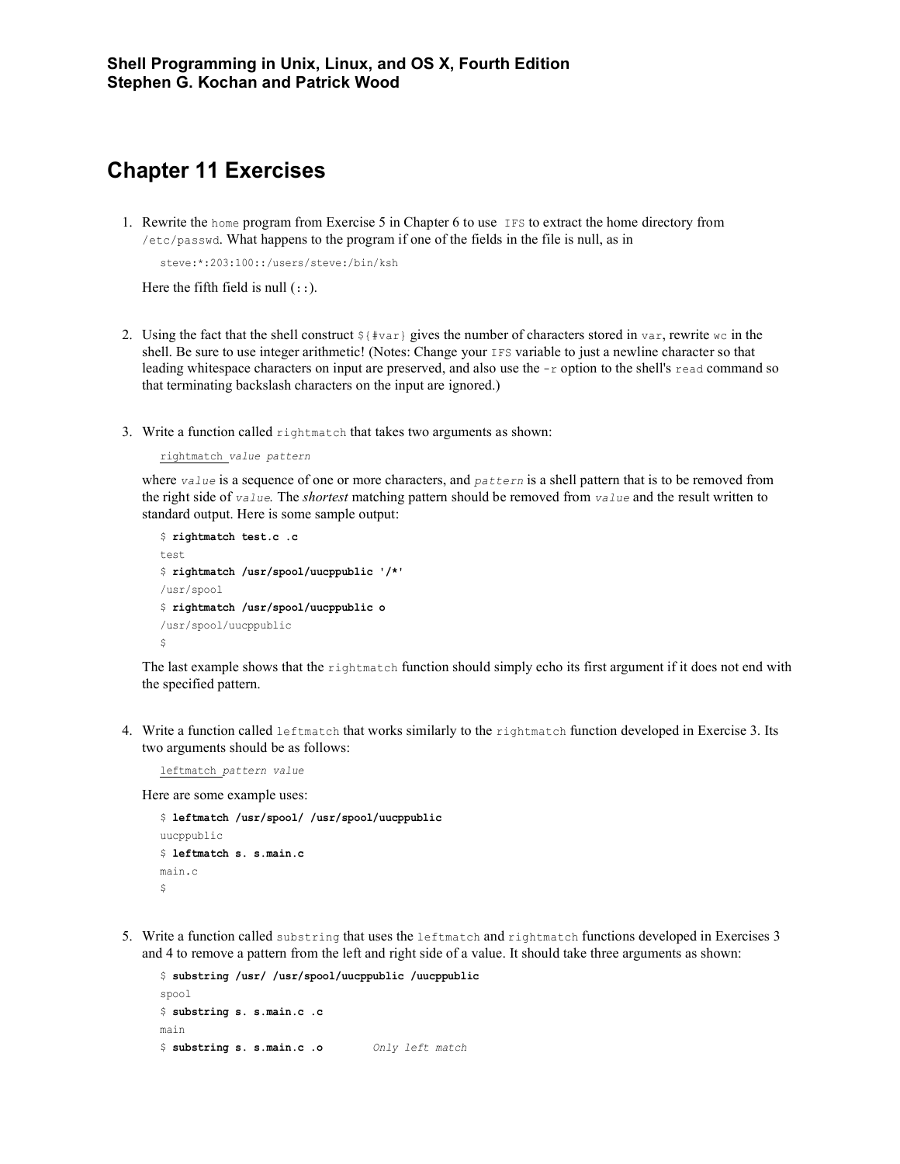#### **Chapter 11 Exercises**

1. Rewrite the home program from Exercise 5 in Chapter 6 to use IFS to extract the home directory from /etc/passwd. What happens to the program if one of the fields in the file is null, as in

```
steve:*:203:100::/users/steve:/bin/ksh
```
Here the fifth field is null  $(:).$ 

- 2. Using the fact that the shell construct  $\frac{1}{4}$  gives the number of characters stored in var, rewrite wc in the shell. Be sure to use integer arithmetic! (Notes: Change your IFS variable to just a newline character so that leading whitespace characters on input are preserved, and also use the -r option to the shell's read command so that terminating backslash characters on the input are ignored.)
- 3. Write a function called rightmatch that takes two arguments as shown:

```
rightmatch value pattern
```
where *value* is a sequence of one or more characters, and *pattern* is a shell pattern that is to be removed from the right side of *value.* The *shortest* matching pattern should be removed from *value* and the result written to standard output. Here is some sample output:

```
$ rightmatch test.c .c
test
$ rightmatch /usr/spool/uucppublic '/*'
/usr/spool
$ rightmatch /usr/spool/uucppublic o
/usr/spool/uucppublic
$
```
The last example shows that the rightmatch function should simply echo its first argument if it does not end with the specified pattern.

4. Write a function called leftmatch that works similarly to the rightmatch function developed in Exercise 3. Its two arguments should be as follows:

leftmatch *pattern value*

Here are some example uses:

```
$ leftmatch /usr/spool/ /usr/spool/uucppublic
uucppublic
$ leftmatch s. s.main.c
main.c
\mathsf{S}
```
5. Write a function called substring that uses the leftmatch and rightmatch functions developed in Exercises 3 and 4 to remove a pattern from the left and right side of a value. It should take three arguments as shown:

```
$ substring /usr/ /usr/spool/uucppublic /uucppublic
spool
$ substring s. s.main.c .c
main
$ substring s. s.main.c .o Only left match
```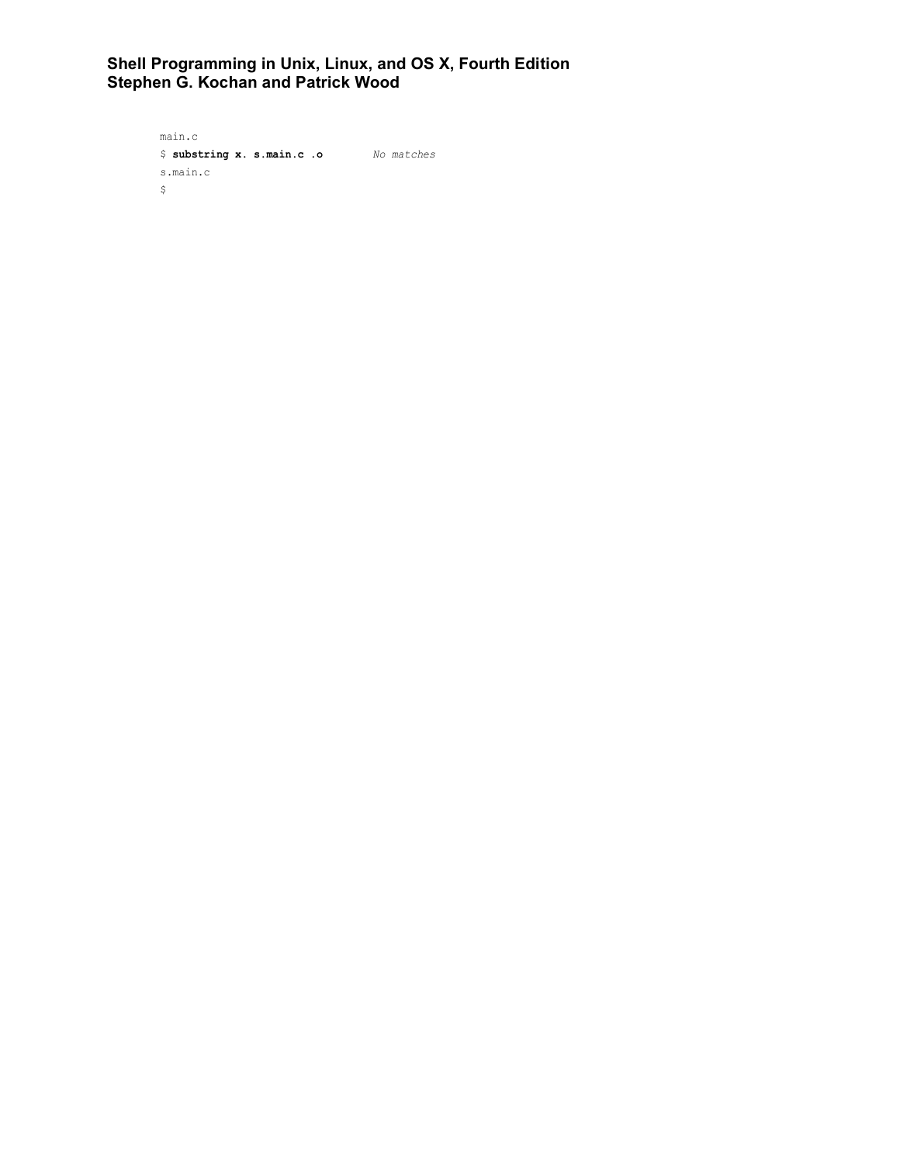```
main.c
$ substring x. s.main.c .o No matches
s.main.c
\mathfrak{s}
```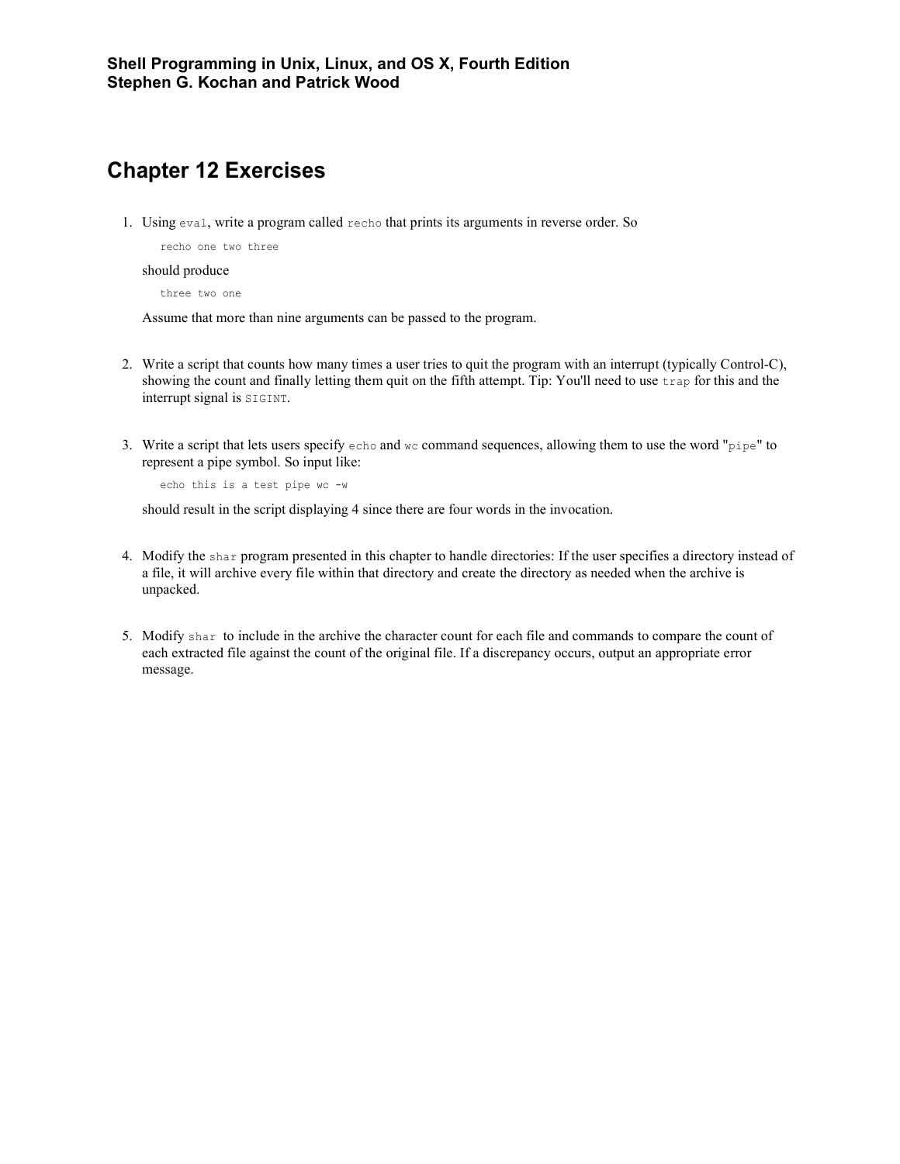# **Chapter 12 Exercises**

1. Using eval, write a program called recho that prints its arguments in reverse order. So

recho one two three

should produce

three two one

Assume that more than nine arguments can be passed to the program.

- 2. Write a script that counts how many times a user tries to quit the program with an interrupt (typically Control-C), showing the count and finally letting them quit on the fifth attempt. Tip: You'll need to use trap for this and the interrupt signal is SIGINT.
- 3. Write a script that lets users specify echo and wc command sequences, allowing them to use the word "pipe" to represent a pipe symbol. So input like:

echo this is a test pipe wc -w

should result in the script displaying 4 since there are four words in the invocation.

- 4. Modify the shar program presented in this chapter to handle directories: If the user specifies a directory instead of a file, it will archive every file within that directory and create the directory as needed when the archive is unpacked.
- 5. Modify shar to include in the archive the character count for each file and commands to compare the count of each extracted file against the count of the original file. If a discrepancy occurs, output an appropriate error message.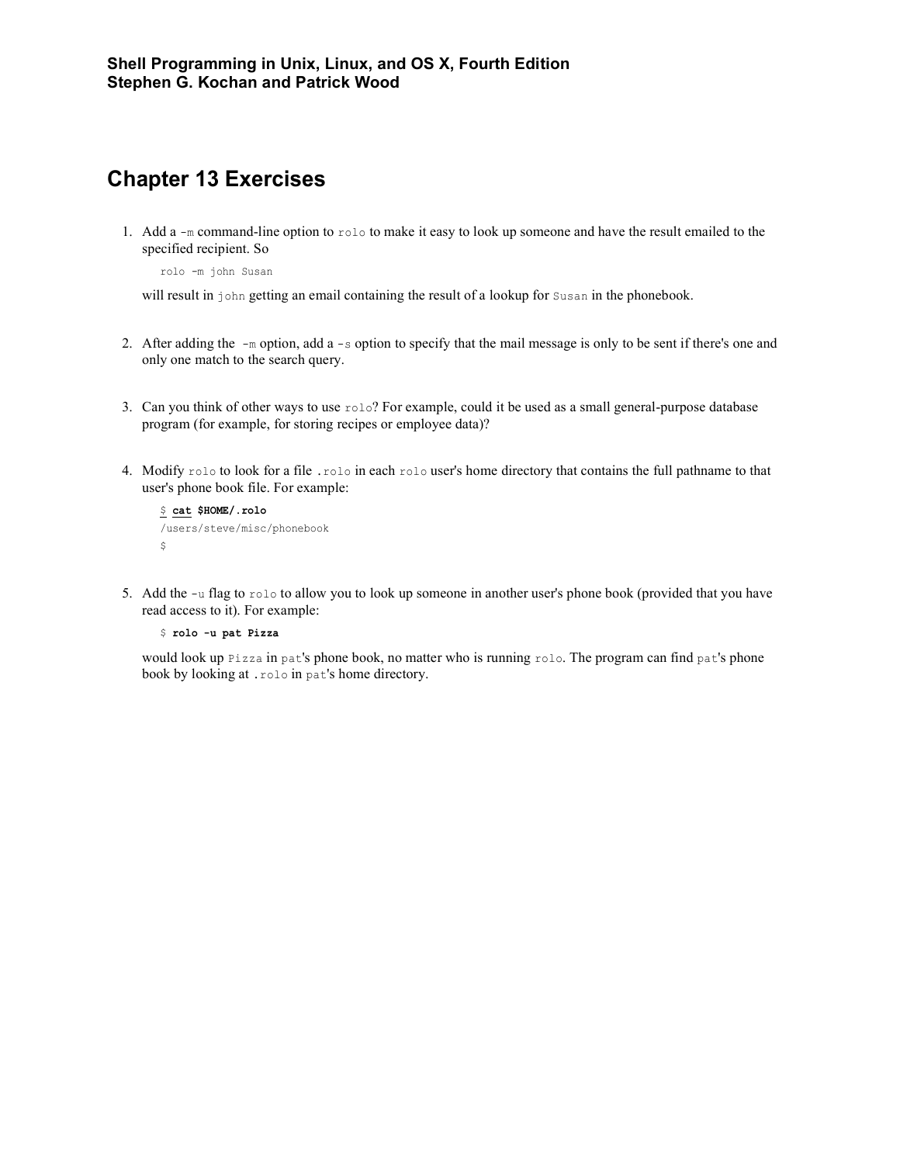## **Chapter 13 Exercises**

1. Add a  $-m$  command-line option to  $r \circ l \circ r$  to make it easy to look up someone and have the result emailed to the specified recipient. So

rolo -m john Susan

will result in john getting an email containing the result of a lookup for Susan in the phonebook.

- 2. After adding the  $-m$  option, add a  $-s$  option to specify that the mail message is only to be sent if there's one and only one match to the search query.
- 3. Can you think of other ways to use  $r \circ 1 \circ ?$  For example, could it be used as a small general-purpose database program (for example, for storing recipes or employee data)?
- 4. Modify rolo to look for a file .rolo in each rolo user's home directory that contains the full pathname to that user's phone book file. For example:

```
$ cat $HOME/.rolo
/users/steve/misc/phonebook
\mathsf{S}
```
5. Add the -u flag to rolo to allow you to look up someone in another user's phone book (provided that you have read access to it). For example:

\$ **rolo -u pat Pizza**

would look up Pizza in pat's phone book, no matter who is running rolo. The program can find pat's phone book by looking at .rolo in pat's home directory.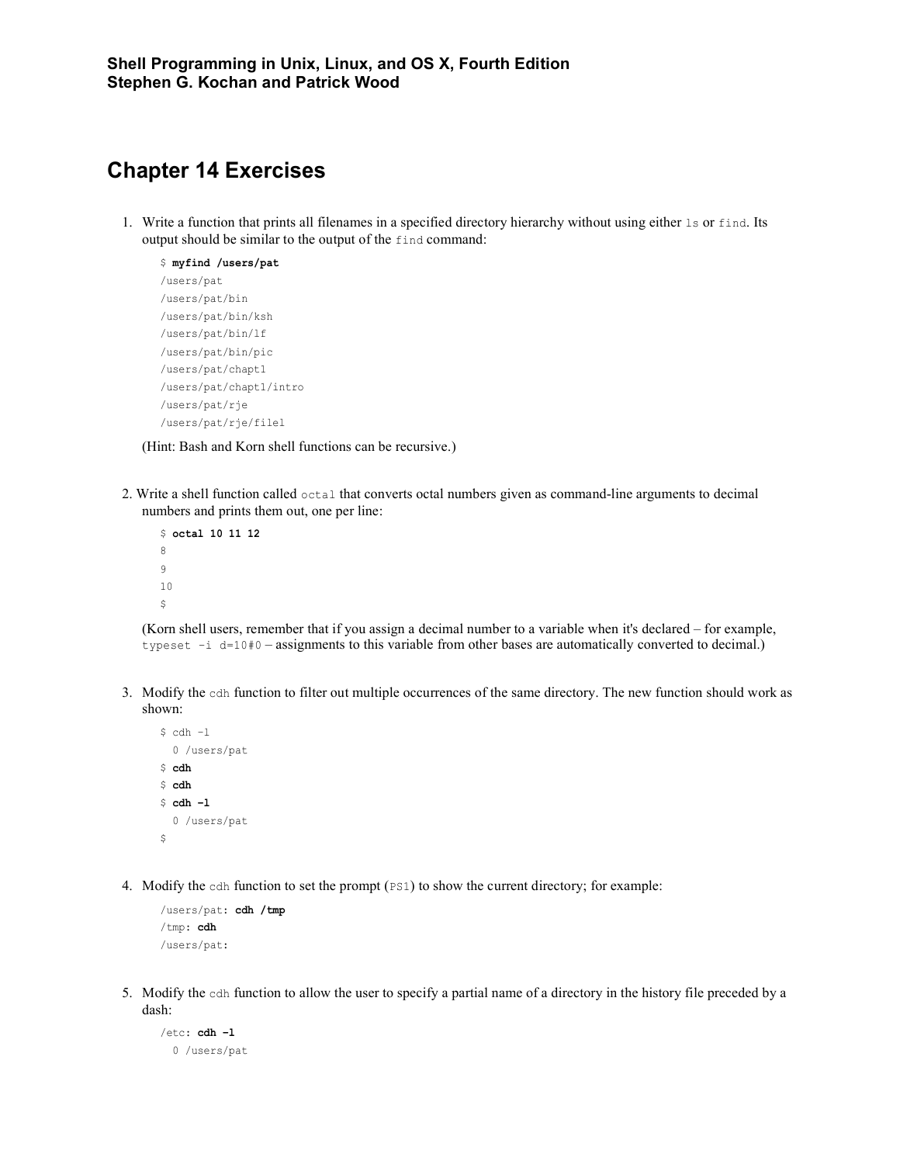## **Chapter 14 Exercises**

1. Write a function that prints all filenames in a specified directory hierarchy without using either ls or find. Its output should be similar to the output of the find command:

```
$ myfind /users/pat
/users/pat
/users/pat/bin
/users/pat/bin/ksh
/users/pat/bin/lf
/users/pat/bin/pic
/users/pat/chapt1
/users/pat/chapt1/intro
/users/pat/rje
/users/pat/rje/filel
```
(Hint: Bash and Korn shell functions can be recursive.)

2. Write a shell function called octal that converts octal numbers given as command-line arguments to decimal numbers and prints them out, one per line:

```
$ octal 10 11 12
8
9
10
\boldsymbol{\mathsf{S}}
```
(Korn shell users, remember that if you assign a decimal number to a variable when it's declared – for example, typeset -i d=10#0 – assignments to this variable from other bases are automatically converted to decimal.)

3. Modify the cdh function to filter out multiple occurrences of the same directory. The new function should work as shown:

```
$ cdh -1 0 /users/pat 
$ cdh
$ cdh
$ cdh –l
   0 /users/pat
\hat{\varsigma}
```
4. Modify the cdh function to set the prompt (PS1) to show the current directory; for example:

```
/users/pat: cdh /tmp
/tmp: cdh
/users/pat:
```
5. Modify the cdh function to allow the user to specify a partial name of a directory in the history file preceded by a dash:

```
/etc: cdh –l
  0 /users/pat
```